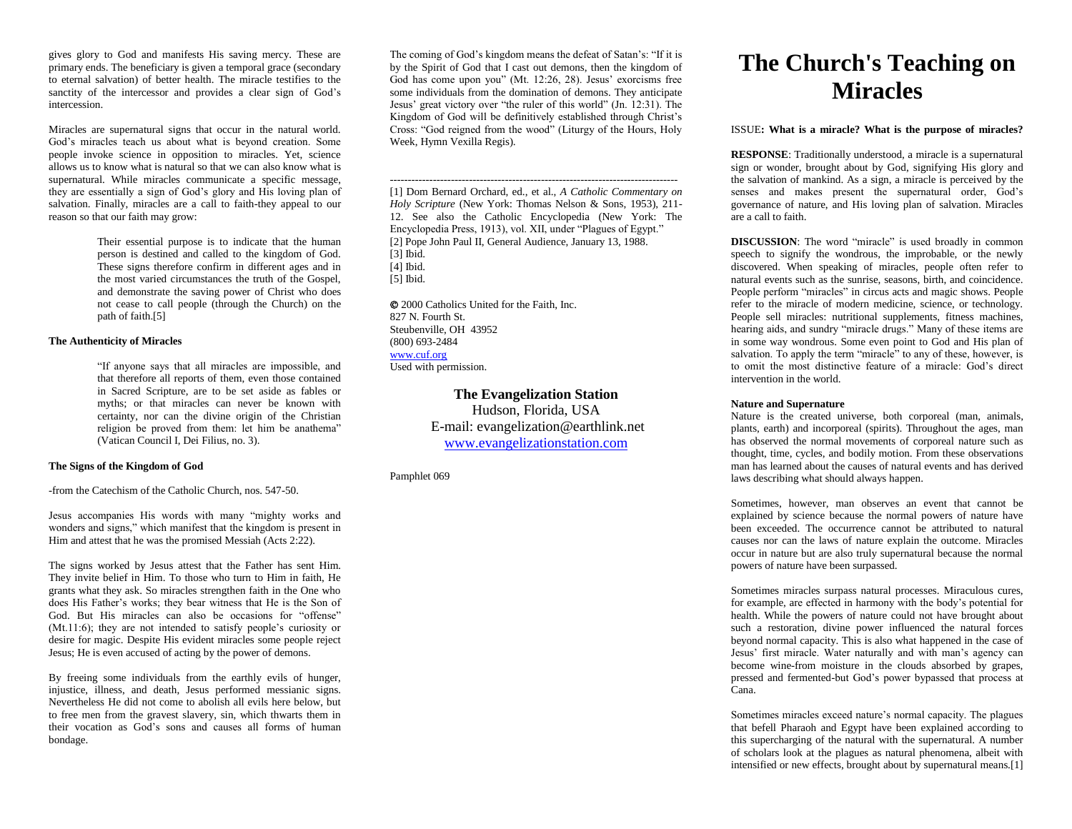gives glory to God and manifests His saving mercy. These are primary ends. The beneficiary is given a temporal grace (secondary to eternal salvation) of better health. The miracle testifies to the sanctity of the intercessor and provides a clear sign of God's intercession.

Miracles are supernatural signs that occur in the natural world. God's miracles teach us about what is beyond creation. Some people invoke science in opposition to miracles. Yet, science allows us to know what is natural so that we can also know what is supernatural. While miracles communicate a specific message, they are essentially a sign of God's glory and His loving plan of salvation. Finally, miracles are a call to faith-they appeal to our reason so that our faith may grow:

> Their essential purpose is to indicate that the human person is destined and called to the kingdom of God. These signs therefore confirm in different ages and in the most varied circumstances the truth of the Gospel, and demonstrate the saving power of Christ who does not cease to call people (through the Church) on the path of faith.[5]

# **The Authenticity of Miracles**

"If anyone says that all miracles are impossible, and that therefore all reports of them, even those contained in Sacred Scripture, are to be set aside as fables or myths; or that miracles can never be known with certainty, nor can the divine origin of the Christian religion be proved from them: let him be anathema" (Vatican Council I, Dei Filius, no. 3).

## **The Signs of the Kingdom of God**

-from the Catechism of the Catholic Church, nos. 547-50.

Jesus accompanies His words with many "mighty works and wonders and signs," which manifest that the kingdom is present in Him and attest that he was the promised Messiah (Acts 2:22).

The signs worked by Jesus attest that the Father has sent Him. They invite belief in Him. To those who turn to Him in faith, He grants what they ask. So miracles strengthen faith in the One who does His Father's works; they bear witness that He is the Son of God. But His miracles can also be occasions for "offense" (Mt.11:6); they are not intended to satisfy people's curiosity or desire for magic. Despite His evident miracles some people reject Jesus; He is even accused of acting by the power of demons.

By freeing some individuals from the earthly evils of hunger, injustice, illness, and death, Jesus performed messianic signs. Nevertheless He did not come to abolish all evils here below, but to free men from the gravest slavery, sin, which thwarts them in their vocation as God's sons and causes all forms of human bondage.

The coming of God's kingdom means the defeat of Satan's: "If it is by the Spirit of God that I cast out demons, then the kingdom of God has come upon you" (Mt. 12:26, 28). Jesus' exorcisms free some individuals from the domination of demons. They anticipate Jesus' great victory over "the ruler of this world" (Jn. 12:31). The Kingdom of God will be definitively established through Christ's Cross: "God reigned from the wood" (Liturgy of the Hours, Holy Week, Hymn Vexilla Regis).

-------------------------------------------------------------------------------- [1] Dom Bernard Orchard, ed., et al., *A Catholic Commentary on Holy Scripture* (New York: Thomas Nelson & Sons, 1953), 211- 12. See also the Catholic Encyclopedia (New York: The Encyclopedia Press, 1913), vol. XII, under "Plagues of Egypt." [2] Pope John Paul II, General Audience, January 13, 1988. [3] Ibid. [4] Ibid. [5] Ibid.

 2000 Catholics United for the Faith, Inc. 827 N. Fourth St. Steubenville, OH 43952 (800) 693-2484 [www.cuf.org](http://www.cuf.org/) Used with permission.

> **The Evangelization Station** Hudson, Florida, USA E-mail: evangelization@earthlink.net [www.evangelizationstation.com](http://www.pjpiisoe.org/)

Pamphlet 069

# **The Church's Teaching on Miracles**

#### ISSUE**: What is a miracle? What is the purpose of miracles?**

**RESPONSE**: Traditionally understood, a miracle is a supernatural sign or wonder, brought about by God, signifying His glory and the salvation of mankind. As a sign, a miracle is perceived by the senses and makes present the supernatural order, God's governance of nature, and His loving plan of salvation. Miracles are a call to faith.

**DISCUSSION:** The word "miracle" is used broadly in common speech to signify the wondrous, the improbable, or the newly discovered. When speaking of miracles, people often refer to natural events such as the sunrise, seasons, birth, and coincidence. People perform "miracles" in circus acts and magic shows. People refer to the miracle of modern medicine, science, or technology. People sell miracles: nutritional supplements, fitness machines, hearing aids, and sundry "miracle drugs." Many of these items are in some way wondrous. Some even point to God and His plan of salvation. To apply the term "miracle" to any of these, however, is to omit the most distinctive feature of a miracle: God's direct intervention in the world.

### **Nature and Supernature**

Nature is the created universe, both corporeal (man, animals, plants, earth) and incorporeal (spirits). Throughout the ages, man has observed the normal movements of corporeal nature such as thought, time, cycles, and bodily motion. From these observations man has learned about the causes of natural events and has derived laws describing what should always happen.

Sometimes, however, man observes an event that cannot be explained by science because the normal powers of nature have been exceeded. The occurrence cannot be attributed to natural causes nor can the laws of nature explain the outcome. Miracles occur in nature but are also truly supernatural because the normal powers of nature have been surpassed.

Sometimes miracles surpass natural processes. Miraculous cures, for example, are effected in harmony with the body's potential for health. While the powers of nature could not have brought about such a restoration, divine power influenced the natural forces beyond normal capacity. This is also what happened in the case of Jesus' first miracle. Water naturally and with man's agency can become wine-from moisture in the clouds absorbed by grapes, pressed and fermented-but God's power bypassed that process at Cana.

Sometimes miracles exceed nature's normal capacity. The plagues that befell Pharaoh and Egypt have been explained according to this supercharging of the natural with the supernatural. A number of scholars look at the plagues as natural phenomena, albeit with intensified or new effects, brought about by supernatural means.[1]